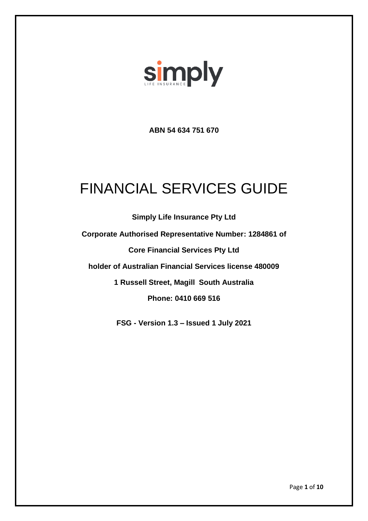

**ABN 54 634 751 670**

# FINANCIAL SERVICES GUIDE

**Simply Life Insurance Pty Ltd Corporate Authorised Representative Number: 1284861 of Core Financial Services Pty Ltd holder of Australian Financial Services license 480009 1 Russell Street, Magill South Australia Phone: 0410 669 516**

**FSG - Version 1.3 – Issued 1 July 2021**

Page **1** of **10**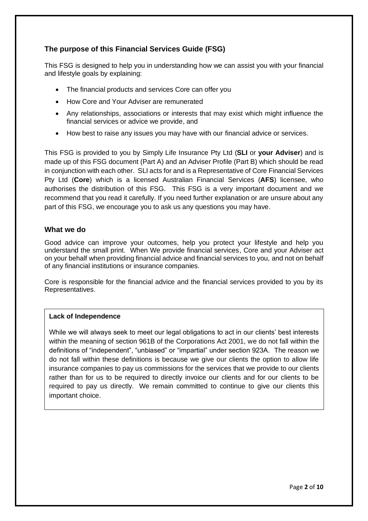# **The purpose of this Financial Services Guide (FSG)**

This FSG is designed to help you in understanding how we can assist you with your financial and lifestyle goals by explaining:

- The financial products and services Core can offer you
- How Core and Your Adviser are remunerated
- Any relationships, associations or interests that may exist which might influence the financial services or advice we provide, and
- How best to raise any issues you may have with our financial advice or services.

This FSG is provided to you by Simply Life Insurance Pty Ltd (**SLI** or **your Adviser**) and is made up of this FSG document (Part A) and an Adviser Profile (Part B) which should be read in conjunction with each other. SLI acts for and is a Representative of Core Financial Services Pty Ltd (**Core**) which is a licensed Australian Financial Services (**AFS**) licensee, who authorises the distribution of this FSG. This FSG is a very important document and we recommend that you read it carefully. If you need further explanation or are unsure about any part of this FSG, we encourage you to ask us any questions you may have.

# **What we do**

Good advice can improve your outcomes, help you protect your lifestyle and help you understand the small print. When We provide financial services, Core and your Adviser act on your behalf when providing financial advice and financial services to you, and not on behalf of any financial institutions or insurance companies.

Core is responsible for the financial advice and the financial services provided to you by its Representatives.

# **Lack of Independence**

While we will always seek to meet our legal obligations to act in our clients' best interests within the meaning of section 961B of the Corporations Act 2001, we do not fall within the definitions of "independent", "unbiased" or "impartial" under section 923A. The reason we do not fall within these definitions is because we give our clients the option to allow life insurance companies to pay us commissions for the services that we provide to our clients rather than for us to be required to directly invoice our clients and for our clients to be required to pay us directly. We remain committed to continue to give our clients this important choice.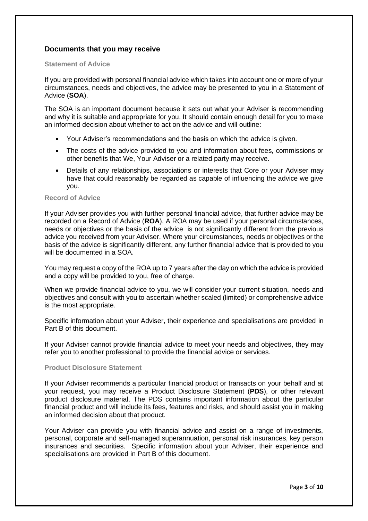# **Documents that you may receive**

#### **Statement of Advice**

If you are provided with personal financial advice which takes into account one or more of your circumstances, needs and objectives, the advice may be presented to you in a Statement of Advice (**SOA**).

The SOA is an important document because it sets out what your Adviser is recommending and why it is suitable and appropriate for you. It should contain enough detail for you to make an informed decision about whether to act on the advice and will outline:

- Your Adviser's recommendations and the basis on which the advice is given.
- The costs of the advice provided to you and information about fees, commissions or other benefits that We, Your Adviser or a related party may receive.
- Details of any relationships, associations or interests that Core or your Adviser may have that could reasonably be regarded as capable of influencing the advice we give you.

#### **Record of Advice**

If your Adviser provides you with further personal financial advice, that further advice may be recorded on a Record of Advice (**ROA**). A ROA may be used if your personal circumstances, needs or objectives or the basis of the advice is not significantly different from the previous advice you received from your Adviser. Where your circumstances, needs or objectives or the basis of the advice is significantly different, any further financial advice that is provided to you will be documented in a SOA.

You may request a copy of the ROA up to 7 years after the day on which the advice is provided and a copy will be provided to you, free of charge.

When we provide financial advice to you, we will consider your current situation, needs and objectives and consult with you to ascertain whether scaled (limited) or comprehensive advice is the most appropriate.

Specific information about your Adviser, their experience and specialisations are provided in Part B of this document.

If your Adviser cannot provide financial advice to meet your needs and objectives, they may refer you to another professional to provide the financial advice or services.

#### **Product Disclosure Statement**

If your Adviser recommends a particular financial product or transacts on your behalf and at your request, you may receive a Product Disclosure Statement (**PDS**), or other relevant product disclosure material. The PDS contains important information about the particular financial product and will include its fees, features and risks, and should assist you in making an informed decision about that product.

Your Adviser can provide you with financial advice and assist on a range of investments, personal, corporate and self-managed superannuation, personal risk insurances, key person insurances and securities. Specific information about your Adviser, their experience and specialisations are provided in Part B of this document.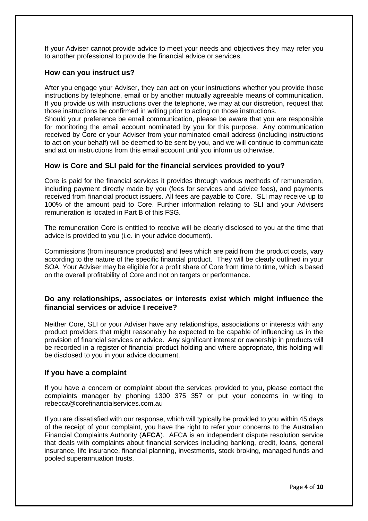If your Adviser cannot provide advice to meet your needs and objectives they may refer you to another professional to provide the financial advice or services.

# **How can you instruct us?**

After you engage your Adviser, they can act on your instructions whether you provide those instructions by telephone, email or by another mutually agreeable means of communication. If you provide us with instructions over the telephone, we may at our discretion, request that those instructions be confirmed in writing prior to acting on those instructions.

Should your preference be email communication, please be aware that you are responsible for monitoring the email account nominated by you for this purpose. Any communication received by Core or your Adviser from your nominated email address (including instructions to act on your behalf) will be deemed to be sent by you, and we will continue to communicate and act on instructions from this email account until you inform us otherwise.

### **How is Core and SLI paid for the financial services provided to you?**

Core is paid for the financial services it provides through various methods of remuneration, including payment directly made by you (fees for services and advice fees), and payments received from financial product issuers. All fees are payable to Core. SLI may receive up to 100% of the amount paid to Core. Further information relating to SLI and your Advisers remuneration is located in Part B of this FSG.

The remuneration Core is entitled to receive will be clearly disclosed to you at the time that advice is provided to you (i.e. in your advice document).

Commissions (from insurance products) and fees which are paid from the product costs, vary according to the nature of the specific financial product. They will be clearly outlined in your SOA. Your Adviser may be eligible for a profit share of Core from time to time, which is based on the overall profitability of Core and not on targets or performance.

# **Do any relationships, associates or interests exist which might influence the financial services or advice I receive?**

Neither Core, SLI or your Adviser have any relationships, associations or interests with any product providers that might reasonably be expected to be capable of influencing us in the provision of financial services or advice. Any significant interest or ownership in products will be recorded in a register of financial product holding and where appropriate, this holding will be disclosed to you in your advice document.

#### **If you have a complaint**

If you have a concern or complaint about the services provided to you, please contact the complaints manager by phoning 1300 375 357 or put your concerns in writing to rebecca@corefinancialservices.com.au

If you are dissatisfied with our response, which will typically be provided to you within 45 days of the receipt of your complaint, you have the right to refer your concerns to the Australian Financial Complaints Authority (**AFCA**). AFCA is an independent dispute resolution service that deals with complaints about financial services including banking, credit, loans, general insurance, life insurance, financial planning, investments, stock broking, managed funds and pooled superannuation trusts.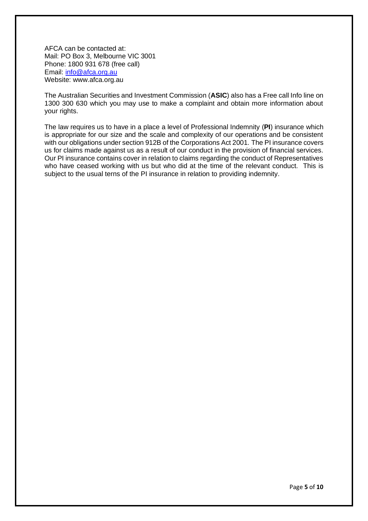AFCA can be contacted at: Mail: PO Box 3, Melbourne VIC 3001 Phone: 1800 931 678 (free call) Email: [info@afca.org.au](mailto:info@afca.org.au) Website: www.afca.org.au

The Australian Securities and Investment Commission (**ASIC**) also has a Free call Info line on 1300 300 630 which you may use to make a complaint and obtain more information about your rights.

The law requires us to have in a place a level of Professional Indemnity (**PI**) insurance which is appropriate for our size and the scale and complexity of our operations and be consistent with our obligations under section 912B of the Corporations Act 2001. The PI insurance covers us for claims made against us as a result of our conduct in the provision of financial services. Our PI insurance contains cover in relation to claims regarding the conduct of Representatives who have ceased working with us but who did at the time of the relevant conduct. This is subject to the usual terns of the PI insurance in relation to providing indemnity.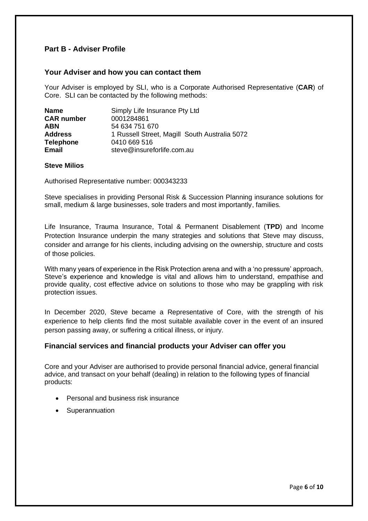# **Part B - Adviser Profile**

## **Your Adviser and how you can contact them**

Your Adviser is employed by SLI, who is a Corporate Authorised Representative (**CAR**) of Core. SLI can be contacted by the following methods:

| <b>Name</b>       | Simply Life Insurance Pty Ltd                 |
|-------------------|-----------------------------------------------|
| <b>CAR number</b> | 0001284861                                    |
| <b>ABN</b>        | 54 634 751 670                                |
| <b>Address</b>    | 1 Russell Street, Magill South Australia 5072 |
| <b>Telephone</b>  | 0410 669 516                                  |
| <b>Email</b>      | steve@insureforlife.com.au                    |

#### **Steve Milios**

Authorised Representative number: 000343233

Steve specialises in providing Personal Risk & Succession Planning insurance solutions for small, medium & large businesses, sole traders and most importantly, families.

Life Insurance, Trauma Insurance, Total & Permanent Disablement (**TPD**) and Income Protection Insurance underpin the many strategies and solutions that Steve may discuss, consider and arrange for his clients, including advising on the ownership, structure and costs of those policies.

With many years of experience in the Risk Protection arena and with a 'no pressure' approach, Steve's experience and knowledge is vital and allows him to understand, empathise and provide quality, cost effective advice on solutions to those who may be grappling with risk protection issues.

In December 2020, Steve became a Representative of Core, with the strength of his experience to help clients find the most suitable available cover in the event of an insured person passing away, or suffering a critical illness, or injury.

# **Financial services and financial products your Adviser can offer you**

Core and your Adviser are authorised to provide personal financial advice, general financial advice, and transact on your behalf (dealing) in relation to the following types of financial products:

- Personal and business risk insurance
- Superannuation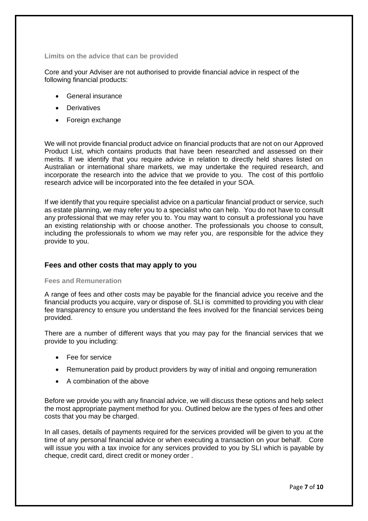**Limits on the advice that can be provided**

Core and your Adviser are not authorised to provide financial advice in respect of the following financial products:

- General insurance
- Derivatives
- Foreign exchange

We will not provide financial product advice on financial products that are not on our Approved Product List, which contains products that have been researched and assessed on their merits. If we identify that you require advice in relation to directly held shares listed on Australian or international share markets, we may undertake the required research, and incorporate the research into the advice that we provide to you. The cost of this portfolio research advice will be incorporated into the fee detailed in your SOA.

If we identify that you require specialist advice on a particular financial product or service, such as estate planning, we may refer you to a specialist who can help. You do not have to consult any professional that we may refer you to. You may want to consult a professional you have an existing relationship with or choose another. The professionals you choose to consult, including the professionals to whom we may refer you, are responsible for the advice they provide to you.

# **Fees and other costs that may apply to you**

#### **Fees and Remuneration**

A range of fees and other costs may be payable for the financial advice you receive and the financial products you acquire, vary or dispose of. SLI is committed to providing you with clear fee transparency to ensure you understand the fees involved for the financial services being provided.

There are a number of different ways that you may pay for the financial services that we provide to you including:

- Fee for service
- Remuneration paid by product providers by way of initial and ongoing remuneration
- A combination of the above

Before we provide you with any financial advice, we will discuss these options and help select the most appropriate payment method for you. Outlined below are the types of fees and other costs that you may be charged.

In all cases, details of payments required for the services provided will be given to you at the time of any personal financial advice or when executing a transaction on your behalf. Core will issue you with a tax invoice for any services provided to you by SLI which is payable by cheque, credit card, direct credit or money order .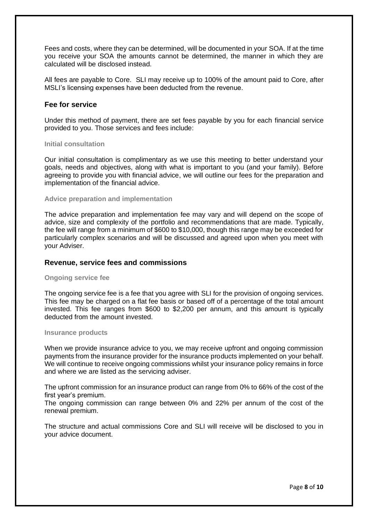Fees and costs, where they can be determined, will be documented in your SOA. If at the time you receive your SOA the amounts cannot be determined, the manner in which they are calculated will be disclosed instead.

All fees are payable to Core. SLI may receive up to 100% of the amount paid to Core, after MSLI's licensing expenses have been deducted from the revenue.

## **Fee for service**

Under this method of payment, there are set fees payable by you for each financial service provided to you. Those services and fees include:

#### **Initial consultation**

Our initial consultation is complimentary as we use this meeting to better understand your goals, needs and objectives, along with what is important to you (and your family). Before agreeing to provide you with financial advice, we will outline our fees for the preparation and implementation of the financial advice.

#### **Advice preparation and implementation**

The advice preparation and implementation fee may vary and will depend on the scope of advice, size and complexity of the portfolio and recommendations that are made. Typically, the fee will range from a minimum of \$600 to \$10,000, though this range may be exceeded for particularly complex scenarios and will be discussed and agreed upon when you meet with your Adviser.

#### **Revenue, service fees and commissions**

#### **Ongoing service fee**

The ongoing service fee is a fee that you agree with SLI for the provision of ongoing services. This fee may be charged on a flat fee basis or based off of a percentage of the total amount invested. This fee ranges from \$600 to \$2,200 per annum, and this amount is typically deducted from the amount invested.

#### **Insurance products**

When we provide insurance advice to you, we may receive upfront and ongoing commission payments from the insurance provider for the insurance products implemented on your behalf. We will continue to receive ongoing commissions whilst your insurance policy remains in force and where we are listed as the servicing adviser.

The upfront commission for an insurance product can range from 0% to 66% of the cost of the first year's premium.

The ongoing commission can range between 0% and 22% per annum of the cost of the renewal premium.

The structure and actual commissions Core and SLI will receive will be disclosed to you in your advice document.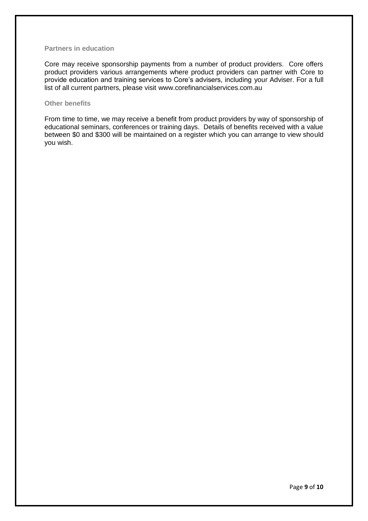#### **Partners in education**

Core may receive sponsorship payments from a number of product providers. Core offers product providers various arrangements where product providers can partner with Core to provide education and training services to Core's advisers, including your Adviser. For a full list of all current partners, please visit [www.corefinancials](http://www.corefinancial/)ervices.com.au

### **Other benefits**

From time to time, we may receive a benefit from product providers by way of sponsorship of educational seminars, conferences or training days. Details of benefits received with a value between \$0 and \$300 will be maintained on a register which you can arrange to view should you wish.